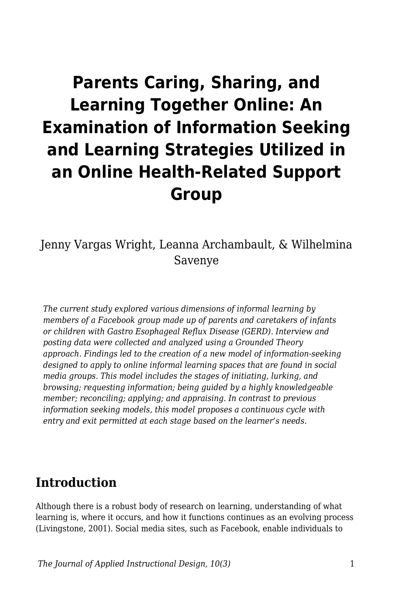# **Parents Caring, Sharing, and Learning Together Online: An Examination of Information Seeking and Learning Strategies Utilized in an Online Health-Related Support Group**

Jenny Vargas Wright, Leanna Archambault, & Wilhelmina Savenye

*The current study explored various dimensions of informal learning by members of a Facebook group made up of parents and caretakers of infants or children with Gastro Esophageal Reflux Disease (GERD). Interview and posting data were collected and analyzed using a Grounded Theory approach. Findings led to the creation of a new model of information-seeking designed to apply to online informal learning spaces that are found in social media groups. This model includes the stages of initiating, lurking, and browsing; requesting information; being guided by a highly knowledgeable member; reconciling; applying; and appraising. In contrast to previous information seeking models, this model proposes a continuous cycle with entry and exit permitted at each stage based on the learner's needs.*

# **Introduction**

Although there is a robust body of research on learning, understanding of what learning is, where it occurs, and how it functions continues as an evolving process (Livingstone, 2001). Social media sites, such as Facebook, enable individuals to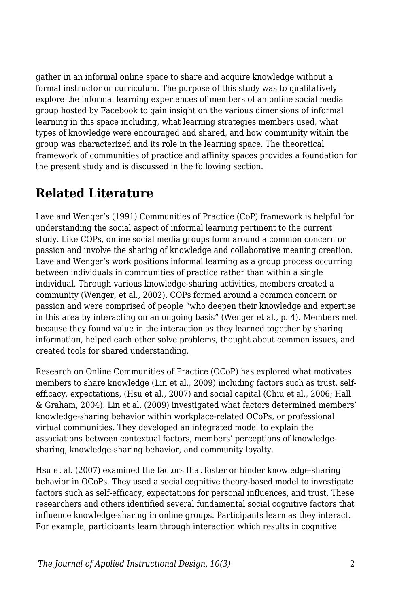gather in an informal online space to share and acquire knowledge without a formal instructor or curriculum. The purpose of this study was to qualitatively explore the informal learning experiences of members of an online social media group hosted by Facebook to gain insight on the various dimensions of informal learning in this space including, what learning strategies members used, what types of knowledge were encouraged and shared, and how community within the group was characterized and its role in the learning space. The theoretical framework of communities of practice and affinity spaces provides a foundation for the present study and is discussed in the following section.

# **Related Literature**

Lave and Wenger's (1991) Communities of Practice (CoP) framework is helpful for understanding the social aspect of informal learning pertinent to the current study. Like COPs, online social media groups form around a common concern or passion and involve the sharing of knowledge and collaborative meaning creation. Lave and Wenger's work positions informal learning as a group process occurring between individuals in communities of practice rather than within a single individual. Through various knowledge-sharing activities, members created a community (Wenger, et al., 2002). COPs formed around a common concern or passion and were comprised of people "who deepen their knowledge and expertise in this area by interacting on an ongoing basis" (Wenger et al., p. 4). Members met because they found value in the interaction as they learned together by sharing information, helped each other solve problems, thought about common issues, and created tools for shared understanding.

Research on Online Communities of Practice (OCoP) has explored what motivates members to share knowledge (Lin et al., 2009) including factors such as trust, selfefficacy, expectations, (Hsu et al., 2007) and social capital (Chiu et al., 2006; Hall & Graham, 2004). Lin et al. (2009) investigated what factors determined members' knowledge-sharing behavior within workplace-related OCoPs, or professional virtual communities. They developed an integrated model to explain the associations between contextual factors, members' perceptions of knowledgesharing, knowledge-sharing behavior, and community loyalty.

Hsu et al. (2007) examined the factors that foster or hinder knowledge-sharing behavior in OCoPs. They used a social cognitive theory-based model to investigate factors such as self-efficacy, expectations for personal influences, and trust. These researchers and others identified several fundamental social cognitive factors that influence knowledge-sharing in online groups. Participants learn as they interact. For example, participants learn through interaction which results in cognitive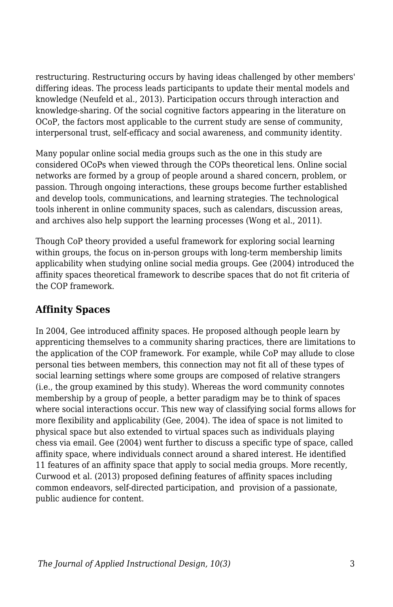restructuring. Restructuring occurs by having ideas challenged by other members' differing ideas. The process leads participants to update their mental models and knowledge (Neufeld et al., 2013). Participation occurs through interaction and knowledge-sharing. Of the social cognitive factors appearing in the literature on OCoP, the factors most applicable to the current study are sense of community, interpersonal trust, self-efficacy and social awareness, and community identity.

Many popular online social media groups such as the one in this study are considered OCoPs when viewed through the COPs theoretical lens. Online social networks are formed by a group of people around a shared concern, problem, or passion. Through ongoing interactions, these groups become further established and develop tools, communications, and learning strategies. The technological tools inherent in online community spaces, such as calendars, discussion areas, and archives also help support the learning processes (Wong et al., 2011).

Though CoP theory provided a useful framework for exploring social learning within groups, the focus on in-person groups with long-term membership limits applicability when studying online social media groups. Gee (2004) introduced the affinity spaces theoretical framework to describe spaces that do not fit criteria of the COP framework.

### **Affinity Spaces**

In 2004, Gee introduced affinity spaces. He proposed although people learn by apprenticing themselves to a community sharing practices, there are limitations to the application of the COP framework. For example, while CoP may allude to close personal ties between members, this connection may not fit all of these types of social learning settings where some groups are composed of relative strangers (i.e., the group examined by this study). Whereas the word community connotes membership by a group of people, a better paradigm may be to think of spaces where social interactions occur. This new way of classifying social forms allows for more flexibility and applicability (Gee, 2004). The idea of space is not limited to physical space but also extended to virtual spaces such as individuals playing chess via email. Gee (2004) went further to discuss a specific type of space, called affinity space, where individuals connect around a shared interest. He identified 11 features of an affinity space that apply to social media groups. More recently, Curwood et al. (2013) proposed defining features of affinity spaces including common endeavors, self-directed participation, and provision of a passionate, public audience for content.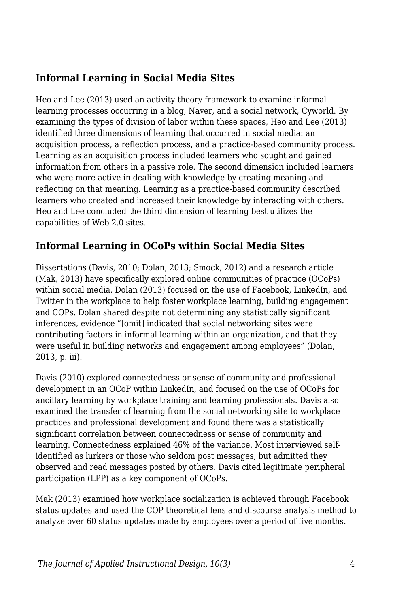# **Informal Learning in Social Media Sites**

Heo and Lee (2013) used an activity theory framework to examine informal learning processes occurring in a blog, Naver, and a social network, Cyworld. By examining the types of division of labor within these spaces, Heo and Lee (2013) identified three dimensions of learning that occurred in social media: an acquisition process, a reflection process, and a practice-based community process. Learning as an acquisition process included learners who sought and gained information from others in a passive role. The second dimension included learners who were more active in dealing with knowledge by creating meaning and reflecting on that meaning. Learning as a practice-based community described learners who created and increased their knowledge by interacting with others. Heo and Lee concluded the third dimension of learning best utilizes the capabilities of Web 2.0 sites.

### **Informal Learning in OCoPs within Social Media Sites**

Dissertations (Davis, 2010; Dolan, 2013; Smock, 2012) and a research article (Mak, 2013) have specifically explored online communities of practice (OCoPs) within social media. Dolan (2013) focused on the use of Facebook, LinkedIn, and Twitter in the workplace to help foster workplace learning, building engagement and COPs. Dolan shared despite not determining any statistically significant inferences, evidence "[omit] indicated that social networking sites were contributing factors in informal learning within an organization, and that they were useful in building networks and engagement among employees" (Dolan, 2013, p. iii).

Davis (2010) explored connectedness or sense of community and professional development in an OCoP within LinkedIn, and focused on the use of OCoPs for ancillary learning by workplace training and learning professionals. Davis also examined the transfer of learning from the social networking site to workplace practices and professional development and found there was a statistically significant correlation between connectedness or sense of community and learning. Connectedness explained 46% of the variance. Most interviewed selfidentified as lurkers or those who seldom post messages, but admitted they observed and read messages posted by others. Davis cited legitimate peripheral participation (LPP) as a key component of OCoPs.

Mak (2013) examined how workplace socialization is achieved through Facebook status updates and used the COP theoretical lens and discourse analysis method to analyze over 60 status updates made by employees over a period of five months.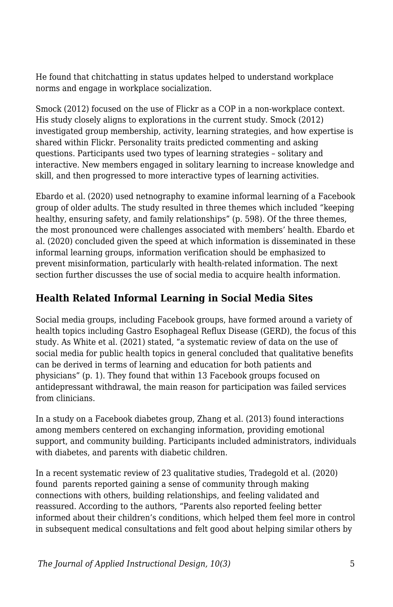He found that chitchatting in status updates helped to understand workplace norms and engage in workplace socialization.

Smock (2012) focused on the use of Flickr as a COP in a non-workplace context. His study closely aligns to explorations in the current study. Smock (2012) investigated group membership, activity, learning strategies, and how expertise is shared within Flickr. Personality traits predicted commenting and asking questions. Participants used two types of learning strategies – solitary and interactive. New members engaged in solitary learning to increase knowledge and skill, and then progressed to more interactive types of learning activities.

Ebardo et al. (2020) used netnography to examine informal learning of a Facebook group of older adults. The study resulted in three themes which included "keeping healthy, ensuring safety, and family relationships" (p. 598). Of the three themes, the most pronounced were challenges associated with members' health. Ebardo et al. (2020) concluded given the speed at which information is disseminated in these informal learning groups, information verification should be emphasized to prevent misinformation, particularly with health-related information. The next section further discusses the use of social media to acquire health information.

# **Health Related Informal Learning in Social Media Sites**

Social media groups, including Facebook groups, have formed around a variety of health topics including Gastro Esophageal Reflux Disease (GERD), the focus of this study. As White et al. (2021) stated, "a systematic review of data on the use of social media for public health topics in general concluded that qualitative benefits can be derived in terms of learning and education for both patients and physicians" (p. 1). They found that within 13 Facebook groups focused on antidepressant withdrawal, the main reason for participation was failed services from clinicians.

In a study on a Facebook diabetes group, Zhang et al. (2013) found interactions among members centered on exchanging information, providing emotional support, and community building. Participants included administrators, individuals with diabetes, and parents with diabetic children.

In a recent systematic review of 23 qualitative studies, Tradegold et al. (2020) found parents reported gaining a sense of community through making connections with others, building relationships, and feeling validated and reassured. According to the authors, "Parents also reported feeling better informed about their children's conditions, which helped them feel more in control in subsequent medical consultations and felt good about helping similar others by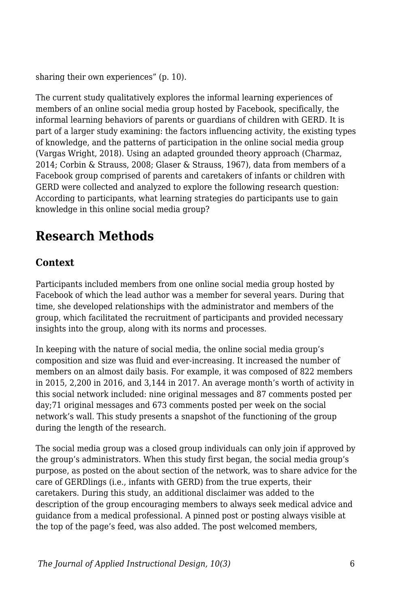sharing their own experiences" (p. 10).

The current study qualitatively explores the informal learning experiences of members of an online social media group hosted by Facebook, specifically, the informal learning behaviors of parents or guardians of children with GERD. It is part of a larger study examining: the factors influencing activity, the existing types of knowledge, and the patterns of participation in the online social media group (Vargas Wright, 2018). Using an adapted grounded theory approach (Charmaz, 2014; Corbin & Strauss, 2008; Glaser & Strauss, 1967), data from members of a Facebook group comprised of parents and caretakers of infants or children with GERD were collected and analyzed to explore the following research question: According to participants, what learning strategies do participants use to gain knowledge in this online social media group?

# **Research Methods**

### **Context**

Participants included members from one online social media group hosted by Facebook of which the lead author was a member for several years. During that time, she developed relationships with the administrator and members of the group, which facilitated the recruitment of participants and provided necessary insights into the group, along with its norms and processes.

In keeping with the nature of social media, the online social media group's composition and size was fluid and ever-increasing. It increased the number of members on an almost daily basis. For example, it was composed of 822 members in 2015, 2,200 in 2016, and 3,144 in 2017. An average month's worth of activity in this social network included: nine original messages and 87 comments posted per day;71 original messages and 673 comments posted per week on the social network's wall. This study presents a snapshot of the functioning of the group during the length of the research.

The social media group was a closed group individuals can only join if approved by the group's administrators. When this study first began, the social media group's purpose, as posted on the about section of the network, was to share advice for the care of GERDlings (i.e., infants with GERD) from the true experts, their caretakers. During this study, an additional disclaimer was added to the description of the group encouraging members to always seek medical advice and guidance from a medical professional. A pinned post or posting always visible at the top of the page's feed, was also added. The post welcomed members,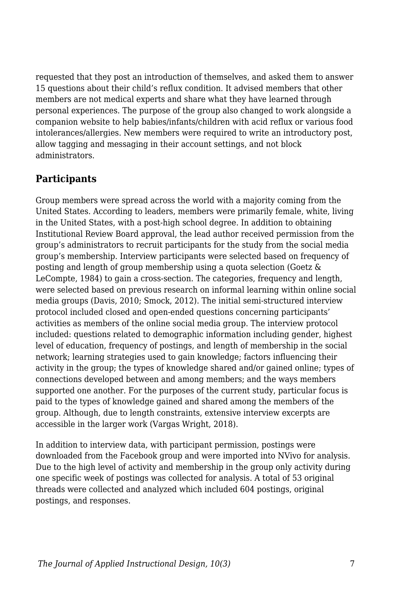requested that they post an introduction of themselves, and asked them to answer 15 questions about their child's reflux condition. It advised members that other members are not medical experts and share what they have learned through personal experiences. The purpose of the group also changed to work alongside a companion website to help babies/infants/children with acid reflux or various food intolerances/allergies. New members were required to write an introductory post, allow tagging and messaging in their account settings, and not block administrators.

# **Participants**

Group members were spread across the world with a majority coming from the United States. According to leaders, members were primarily female, white, living in the United States, with a post-high school degree. In addition to obtaining Institutional Review Board approval, the lead author received permission from the group's administrators to recruit participants for the study from the social media group's membership. Interview participants were selected based on frequency of posting and length of group membership using a quota selection (Goetz & LeCompte, 1984) to gain a cross-section. The categories, frequency and length, were selected based on previous research on informal learning within online social media groups (Davis, 2010; Smock, 2012). The initial semi-structured interview protocol included closed and open-ended questions concerning participants' activities as members of the online social media group. The interview protocol included: questions related to demographic information including gender, highest level of education, frequency of postings, and length of membership in the social network; learning strategies used to gain knowledge; factors influencing their activity in the group; the types of knowledge shared and/or gained online; types of connections developed between and among members; and the ways members supported one another. For the purposes of the current study, particular focus is paid to the types of knowledge gained and shared among the members of the group. Although, due to length constraints, extensive interview excerpts are accessible in the larger work (Vargas Wright, 2018).

In addition to interview data, with participant permission, postings were downloaded from the Facebook group and were imported into NVivo for analysis. Due to the high level of activity and membership in the group only activity during one specific week of postings was collected for analysis. A total of 53 original threads were collected and analyzed which included 604 postings, original postings, and responses.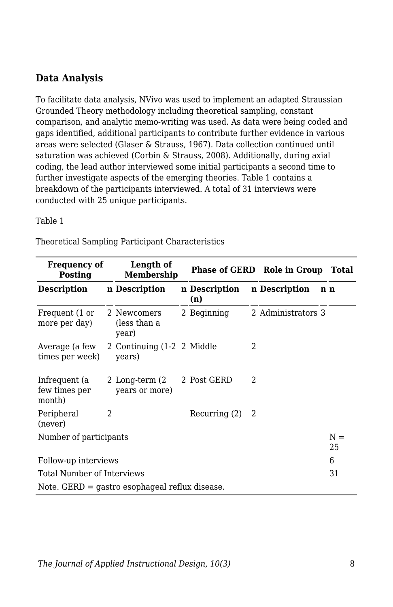### **Data Analysis**

To facilitate data analysis, NVivo was used to implement an adapted Straussian Grounded Theory methodology including theoretical sampling, constant comparison, and analytic memo-writing was used. As data were being coded and gaps identified, additional participants to contribute further evidence in various areas were selected (Glaser & Strauss, 1967). Data collection continued until saturation was achieved (Corbin & Strauss, 2008). Additionally, during axial coding, the lead author interviewed some initial participants a second time to further investigate aspects of the emerging theories. Table 1 contains a breakdown of the participants interviewed. A total of 31 interviews were conducted with 25 unique participants.

Table 1

| <b>Frequency of</b><br>Posting                   |               | Length of<br>Membership              |  |                      |   | Phase of GERD Role in Group Total |             |  |
|--------------------------------------------------|---------------|--------------------------------------|--|----------------------|---|-----------------------------------|-------------|--|
| Description                                      |               | n Description                        |  | n Description<br>(n) |   | n Description                     | n n         |  |
| Frequent (1 or<br>more per day)                  |               | 2 Newcomers<br>(less than a<br>year) |  | 2 Beginning          |   | 2 Administrators 3                |             |  |
| Average (a few<br>times per week)                |               | 2 Continuing (1-2 2 Middle<br>years) |  |                      | 2 |                                   |             |  |
| Infrequent (a<br>few times per<br>month)         |               | 2 Long-term (2)<br>years or more)    |  | 2 Post GERD          | 2 |                                   |             |  |
| Peripheral<br>(never)                            | $\mathcal{L}$ |                                      |  | Recurring (2)        | 2 |                                   |             |  |
| Number of participants                           |               |                                      |  |                      |   |                                   | $N =$<br>25 |  |
| Follow-up interviews                             |               |                                      |  |                      |   |                                   | 6           |  |
| Total Number of Interviews                       |               |                                      |  |                      |   | 31                                |             |  |
| Note. $GERD =$ gastro esophageal reflux disease. |               |                                      |  |                      |   |                                   |             |  |

Theoretical Sampling Participant Characteristics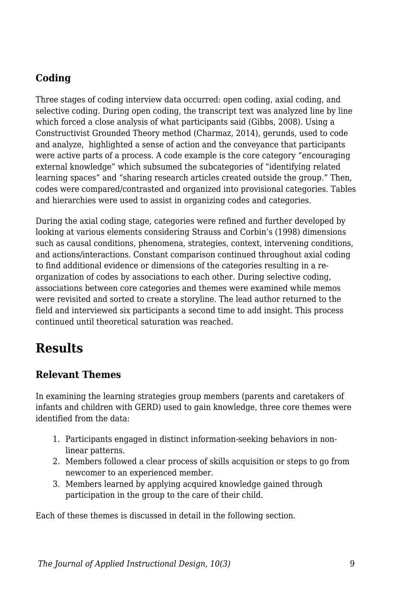# **Coding**

Three stages of coding interview data occurred: open coding, axial coding, and selective coding. During open coding, the transcript text was analyzed line by line which forced a close analysis of what participants said (Gibbs, 2008). Using a Constructivist Grounded Theory method (Charmaz, 2014), gerunds, used to code and analyze, highlighted a sense of action and the conveyance that participants were active parts of a process. A code example is the core category "encouraging external knowledge" which subsumed the subcategories of "identifying related learning spaces" and "sharing research articles created outside the group." Then, codes were compared/contrasted and organized into provisional categories. Tables and hierarchies were used to assist in organizing codes and categories.

During the axial coding stage, categories were refined and further developed by looking at various elements considering Strauss and Corbin's (1998) dimensions such as causal conditions, phenomena, strategies, context, intervening conditions, and actions/interactions. Constant comparison continued throughout axial coding to find additional evidence or dimensions of the categories resulting in a reorganization of codes by associations to each other. During selective coding, associations between core categories and themes were examined while memos were revisited and sorted to create a storyline. The lead author returned to the field and interviewed six participants a second time to add insight. This process continued until theoretical saturation was reached.

# **Results**

### **Relevant Themes**

In examining the learning strategies group members (parents and caretakers of infants and children with GERD) used to gain knowledge, three core themes were identified from the data:

- 1. Participants engaged in distinct information-seeking behaviors in nonlinear patterns.
- 2. Members followed a clear process of skills acquisition or steps to go from newcomer to an experienced member.
- 3. Members learned by applying acquired knowledge gained through participation in the group to the care of their child.

Each of these themes is discussed in detail in the following section.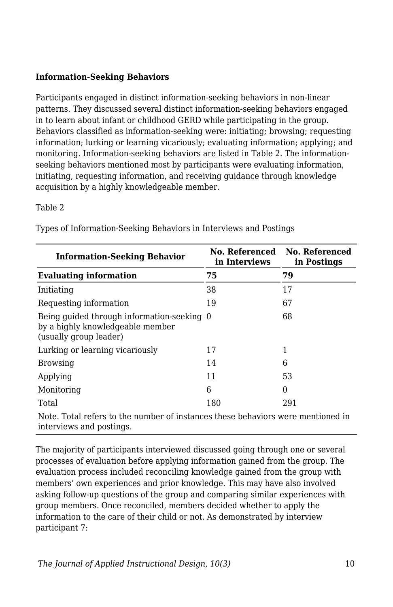#### **Information-Seeking Behaviors**

Participants engaged in distinct information-seeking behaviors in non-linear patterns. They discussed several distinct information-seeking behaviors engaged in to learn about infant or childhood GERD while participating in the group. Behaviors classified as information-seeking were: initiating; browsing; requesting information; lurking or learning vicariously; evaluating information; applying; and monitoring. Information-seeking behaviors are listed in Table 2. The informationseeking behaviors mentioned most by participants were evaluating information, initiating, requesting information, and receiving guidance through knowledge acquisition by a highly knowledgeable member.

#### Table 2

| <b>Information-Seeking Behavior</b>                                                                         | No. Referenced<br>in Interviews | No. Referenced<br>in Postings |  |  |
|-------------------------------------------------------------------------------------------------------------|---------------------------------|-------------------------------|--|--|
| <b>Evaluating information</b>                                                                               | 75                              | 79                            |  |  |
| Initiating                                                                                                  | 38                              | 17                            |  |  |
| Requesting information                                                                                      | 19                              | 67                            |  |  |
| Being quided through information-seeking 0<br>by a highly knowledgeable member<br>(usually group leader)    |                                 | 68                            |  |  |
| Lurking or learning vicariously                                                                             | 17                              | 1                             |  |  |
| <b>Browsing</b>                                                                                             | 14                              | 6                             |  |  |
| Applying                                                                                                    | 11                              | 53                            |  |  |
| Monitoring                                                                                                  | 6                               | $\Omega$                      |  |  |
| Total                                                                                                       | 180                             | 291                           |  |  |
| Note. Total refers to the number of instances these behaviors were mentioned in<br>interviews and postings. |                                 |                               |  |  |

Types of Information-Seeking Behaviors in Interviews and Postings

The majority of participants interviewed discussed going through one or several processes of evaluation before applying information gained from the group. The evaluation process included reconciling knowledge gained from the group with members' own experiences and prior knowledge. This may have also involved asking follow-up questions of the group and comparing similar experiences with group members. Once reconciled, members decided whether to apply the information to the care of their child or not. As demonstrated by interview participant 7: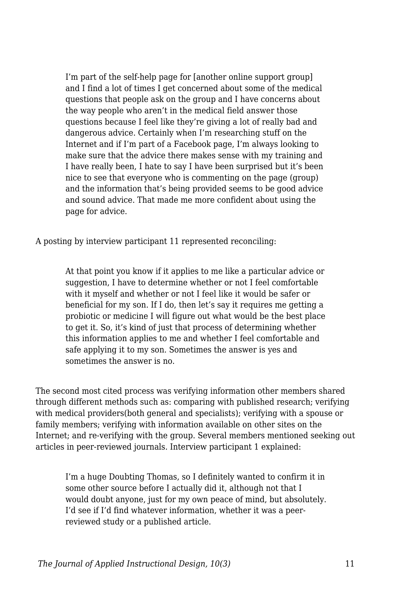I'm part of the self-help page for [another online support group] and I find a lot of times I get concerned about some of the medical questions that people ask on the group and I have concerns about the way people who aren't in the medical field answer those questions because I feel like they're giving a lot of really bad and dangerous advice. Certainly when I'm researching stuff on the Internet and if I'm part of a Facebook page, I'm always looking to make sure that the advice there makes sense with my training and I have really been, I hate to say I have been surprised but it's been nice to see that everyone who is commenting on the page (group) and the information that's being provided seems to be good advice and sound advice. That made me more confident about using the page for advice.

A posting by interview participant 11 represented reconciling:

At that point you know if it applies to me like a particular advice or suggestion. I have to determine whether or not I feel comfortable with it myself and whether or not I feel like it would be safer or beneficial for my son. If I do, then let's say it requires me getting a probiotic or medicine I will figure out what would be the best place to get it. So, it's kind of just that process of determining whether this information applies to me and whether I feel comfortable and safe applying it to my son. Sometimes the answer is yes and sometimes the answer is no.

The second most cited process was verifying information other members shared through different methods such as: comparing with published research; verifying with medical providers(both general and specialists); verifying with a spouse or family members; verifying with information available on other sites on the Internet; and re-verifying with the group. Several members mentioned seeking out articles in peer-reviewed journals. Interview participant 1 explained:

I'm a huge Doubting Thomas, so I definitely wanted to confirm it in some other source before I actually did it, although not that I would doubt anyone, just for my own peace of mind, but absolutely. I'd see if I'd find whatever information, whether it was a peerreviewed study or a published article.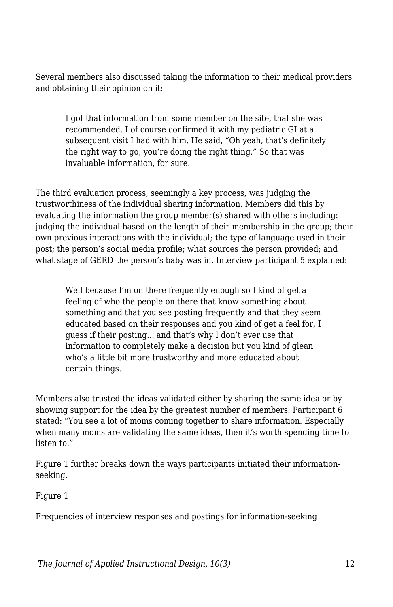Several members also discussed taking the information to their medical providers and obtaining their opinion on it:

I got that information from some member on the site, that she was recommended. I of course confirmed it with my pediatric GI at a subsequent visit I had with him. He said, "Oh yeah, that's definitely the right way to go, you're doing the right thing." So that was invaluable information, for sure.

The third evaluation process, seemingly a key process, was judging the trustworthiness of the individual sharing information. Members did this by evaluating the information the group member(s) shared with others including: judging the individual based on the length of their membership in the group; their own previous interactions with the individual; the type of language used in their post; the person's social media profile; what sources the person provided; and what stage of GERD the person's baby was in. Interview participant 5 explained:

Well because I'm on there frequently enough so I kind of get a feeling of who the people on there that know something about something and that you see posting frequently and that they seem educated based on their responses and you kind of get a feel for, I guess if their posting... and that's why I don't ever use that information to completely make a decision but you kind of glean who's a little bit more trustworthy and more educated about certain things.

Members also trusted the ideas validated either by sharing the same idea or by showing support for the idea by the greatest number of members. Participant 6 stated: "You see a lot of moms coming together to share information. Especially when many moms are validating the same ideas, then it's worth spending time to listen to."

Figure 1 further breaks down the ways participants initiated their informationseeking.

Figure 1

Frequencies of interview responses and postings for information-seeking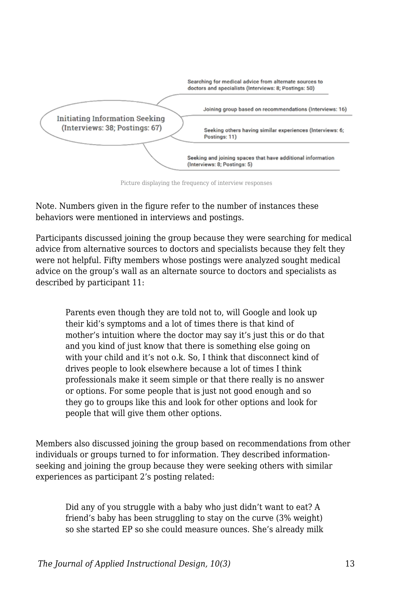

Picture displaying the frequency of interview responses

Note. Numbers given in the figure refer to the number of instances these behaviors were mentioned in interviews and postings.

Participants discussed joining the group because they were searching for medical advice from alternative sources to doctors and specialists because they felt they were not helpful. Fifty members whose postings were analyzed sought medical advice on the group's wall as an alternate source to doctors and specialists as described by participant 11:

Parents even though they are told not to, will Google and look up their kid's symptoms and a lot of times there is that kind of mother's intuition where the doctor may say it's just this or do that and you kind of just know that there is something else going on with your child and it's not o.k. So, I think that disconnect kind of drives people to look elsewhere because a lot of times I think professionals make it seem simple or that there really is no answer or options. For some people that is just not good enough and so they go to groups like this and look for other options and look for people that will give them other options.

Members also discussed joining the group based on recommendations from other individuals or groups turned to for information. They described informationseeking and joining the group because they were seeking others with similar experiences as participant 2's posting related:

Did any of you struggle with a baby who just didn't want to eat? A friend's baby has been struggling to stay on the curve (3% weight) so she started EP so she could measure ounces. She's already milk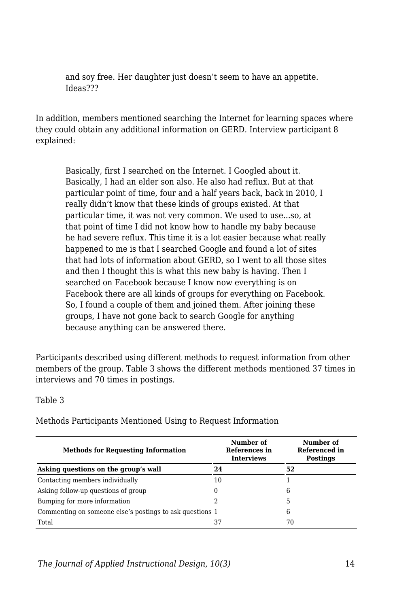and soy free. Her daughter just doesn't seem to have an appetite. Ideas???

In addition, members mentioned searching the Internet for learning spaces where they could obtain any additional information on GERD. Interview participant 8 explained:

Basically, first I searched on the Internet. I Googled about it. Basically, I had an elder son also. He also had reflux. But at that particular point of time, four and a half years back, back in 2010, I really didn't know that these kinds of groups existed. At that particular time, it was not very common. We used to use...so, at that point of time I did not know how to handle my baby because he had severe reflux. This time it is a lot easier because what really happened to me is that I searched Google and found a lot of sites that had lots of information about GERD, so I went to all those sites and then I thought this is what this new baby is having. Then I searched on Facebook because I know now everything is on Facebook there are all kinds of groups for everything on Facebook. So, I found a couple of them and joined them. After joining these groups, I have not gone back to search Google for anything because anything can be answered there.

Participants described using different methods to request information from other members of the group. Table 3 shows the different methods mentioned 37 times in interviews and 70 times in postings.

Table 3

| Number of<br>References in<br><b>Interviews</b>          | Number of<br>Referenced in<br><b>Postings</b> |  |
|----------------------------------------------------------|-----------------------------------------------|--|
| 24                                                       | 52                                            |  |
| 10                                                       |                                               |  |
| 0                                                        | 6                                             |  |
|                                                          | 5                                             |  |
| Commenting on someone else's postings to ask questions 1 | 6                                             |  |
| 37                                                       | 70                                            |  |
|                                                          |                                               |  |

Methods Participants Mentioned Using to Request Information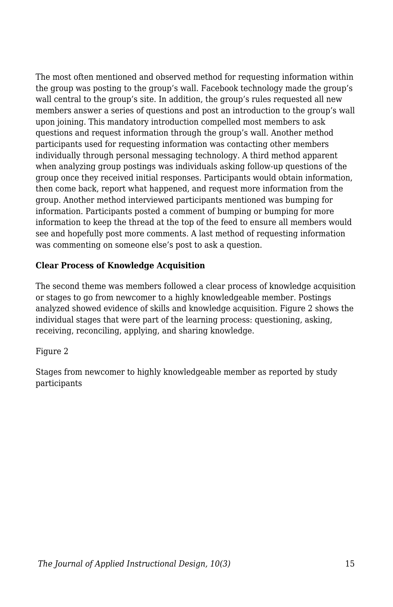The most often mentioned and observed method for requesting information within the group was posting to the group's wall. Facebook technology made the group's wall central to the group's site. In addition, the group's rules requested all new members answer a series of questions and post an introduction to the group's wall upon joining. This mandatory introduction compelled most members to ask questions and request information through the group's wall. Another method participants used for requesting information was contacting other members individually through personal messaging technology. A third method apparent when analyzing group postings was individuals asking follow-up questions of the group once they received initial responses. Participants would obtain information, then come back, report what happened, and request more information from the group. Another method interviewed participants mentioned was bumping for information. Participants posted a comment of bumping or bumping for more information to keep the thread at the top of the feed to ensure all members would see and hopefully post more comments. A last method of requesting information was commenting on someone else's post to ask a question.

#### **Clear Process of Knowledge Acquisition**

The second theme was members followed a clear process of knowledge acquisition or stages to go from newcomer to a highly knowledgeable member. Postings analyzed showed evidence of skills and knowledge acquisition. Figure 2 shows the individual stages that were part of the learning process: questioning, asking, receiving, reconciling, applying, and sharing knowledge.

#### Figure 2

Stages from newcomer to highly knowledgeable member as reported by study participants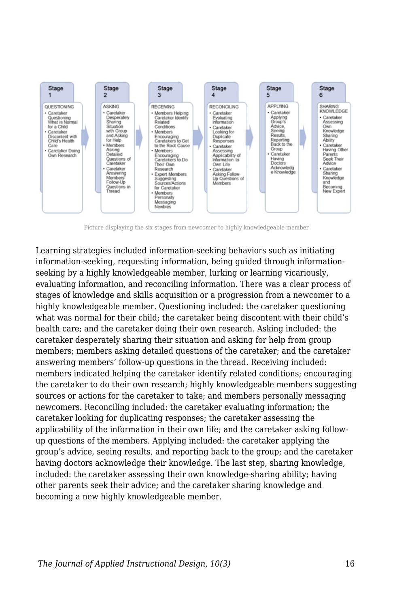

Picture displaying the six stages from newcomer to highly knowledgeable member

Learning strategies included information-seeking behaviors such as initiating information-seeking, requesting information, being guided through informationseeking by a highly knowledgeable member, lurking or learning vicariously, evaluating information, and reconciling information. There was a clear process of stages of knowledge and skills acquisition or a progression from a newcomer to a highly knowledgeable member. Questioning included: the caretaker questioning what was normal for their child; the caretaker being discontent with their child's health care; and the caretaker doing their own research. Asking included: the caretaker desperately sharing their situation and asking for help from group members; members asking detailed questions of the caretaker; and the caretaker answering members' follow-up questions in the thread. Receiving included: members indicated helping the caretaker identify related conditions; encouraging the caretaker to do their own research; highly knowledgeable members suggesting sources or actions for the caretaker to take; and members personally messaging newcomers. Reconciling included: the caretaker evaluating information; the caretaker looking for duplicating responses; the caretaker assessing the applicability of the information in their own life; and the caretaker asking followup questions of the members. Applying included: the caretaker applying the group's advice, seeing results, and reporting back to the group; and the caretaker having doctors acknowledge their knowledge. The last step, sharing knowledge, included: the caretaker assessing their own knowledge-sharing ability; having other parents seek their advice; and the caretaker sharing knowledge and becoming a new highly knowledgeable member.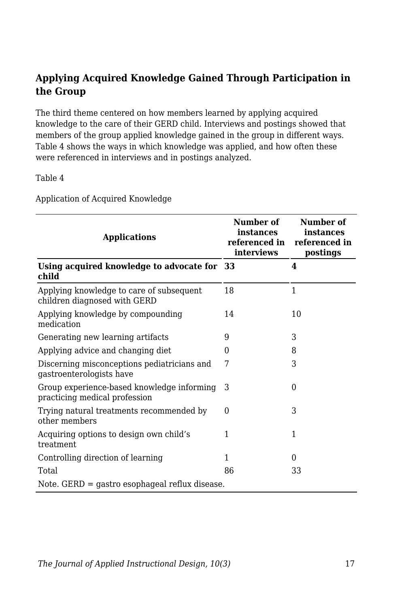### **Applying Acquired Knowledge Gained Through Participation in the Group**

The third theme centered on how members learned by applying acquired knowledge to the care of their GERD child. Interviews and postings showed that members of the group applied knowledge gained in the group in different ways. Table 4 shows the ways in which knowledge was applied, and how often these were referenced in interviews and in postings analyzed.

Table 4

Application of Acquired Knowledge

| <b>Applications</b>                                                         | Number of<br>instances<br>referenced in<br>interviews | Number of<br>instances<br>referenced in<br>postings |  |
|-----------------------------------------------------------------------------|-------------------------------------------------------|-----------------------------------------------------|--|
| Using acquired knowledge to advocate for 33<br>child                        |                                                       | 4                                                   |  |
| Applying knowledge to care of subsequent<br>children diagnosed with GERD    | 18                                                    | 1                                                   |  |
| Applying knowledge by compounding<br>medication                             | 14                                                    | 10                                                  |  |
| Generating new learning artifacts                                           | 9                                                     | 3                                                   |  |
| Applying advice and changing diet                                           | $\Omega$                                              | 8                                                   |  |
| Discerning misconceptions pediatricians and<br>gastroenterologists have     | 7                                                     | 3                                                   |  |
| Group experience-based knowledge informing<br>practicing medical profession | 3                                                     | 0                                                   |  |
| Trying natural treatments recommended by<br>other members                   | $\theta$                                              | 3                                                   |  |
| Acquiring options to design own child's<br>treatment                        | 1                                                     | 1                                                   |  |
| Controlling direction of learning                                           | 1                                                     | $\theta$                                            |  |
| Total                                                                       | 86                                                    | 33                                                  |  |
| Note. $GERD =$ gastro esophageal reflux disease.                            |                                                       |                                                     |  |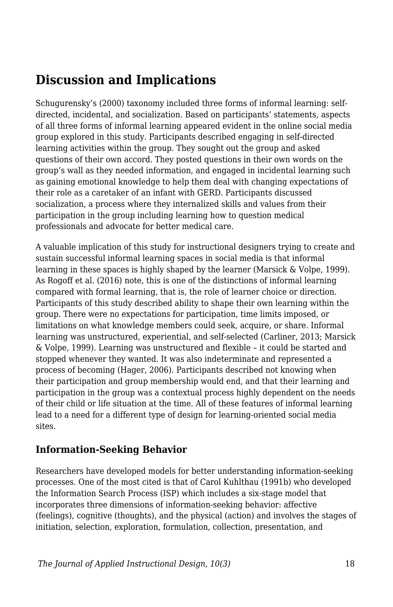# **Discussion and Implications**

Schugurensky's (2000) taxonomy included three forms of informal learning: selfdirected, incidental, and socialization. Based on participants' statements, aspects of all three forms of informal learning appeared evident in the online social media group explored in this study. Participants described engaging in self-directed learning activities within the group. They sought out the group and asked questions of their own accord. They posted questions in their own words on the group's wall as they needed information, and engaged in incidental learning such as gaining emotional knowledge to help them deal with changing expectations of their role as a caretaker of an infant with GERD. Participants discussed socialization, a process where they internalized skills and values from their participation in the group including learning how to question medical professionals and advocate for better medical care.

A valuable implication of this study for instructional designers trying to create and sustain successful informal learning spaces in social media is that informal learning in these spaces is highly shaped by the learner (Marsick & Volpe, 1999). As Rogoff et al. (2016) note, this is one of the distinctions of informal learning compared with formal learning, that is, the role of learner choice or direction. Participants of this study described ability to shape their own learning within the group. There were no expectations for participation, time limits imposed, or limitations on what knowledge members could seek, acquire, or share. Informal learning was unstructured, experiential, and self-selected (Carliner, 2013; Marsick & Volpe, 1999). Learning was unstructured and flexible – it could be started and stopped whenever they wanted. It was also indeterminate and represented a process of becoming (Hager, 2006). Participants described not knowing when their participation and group membership would end, and that their learning and participation in the group was a contextual process highly dependent on the needs of their child or life situation at the time. All of these features of informal learning lead to a need for a different type of design for learning-oriented social media sites.

# **Information-Seeking Behavior**

Researchers have developed models for better understanding information-seeking processes. One of the most cited is that of Carol Kuhlthau (1991b) who developed the Information Search Process (ISP) which includes a six-stage model that incorporates three dimensions of information-seeking behavior: affective (feelings), cognitive (thoughts), and the physical (action) and involves the stages of initiation, selection, exploration, formulation, collection, presentation, and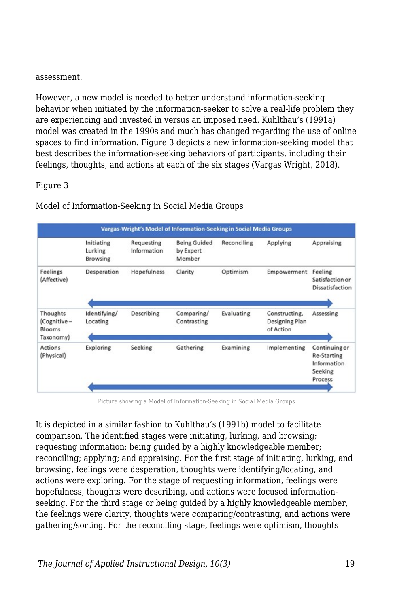#### assessment.

However, a new model is needed to better understand information-seeking behavior when initiated by the information-seeker to solve a real-life problem they are experiencing and invested in versus an imposed need. Kuhlthau's (1991a) model was created in the 1990s and much has changed regarding the use of online spaces to find information. Figure 3 depicts a new information-seeking model that best describes the information-seeking behaviors of participants, including their feelings, thoughts, and actions at each of the six stages (Vargas Wright, 2018).

#### Figure 3

| Vargas-Wright's Model of Information-Seeking in Social Media Groups |                                          |                           |                                            |             |                                              |                                                                   |
|---------------------------------------------------------------------|------------------------------------------|---------------------------|--------------------------------------------|-------------|----------------------------------------------|-------------------------------------------------------------------|
|                                                                     | Initiating<br>Lurking<br><b>Browsing</b> | Requesting<br>Information | <b>Being Guided</b><br>by Expert<br>Member | Reconciling | Applying                                     | Appraising                                                        |
| Feelings<br>(Affective)                                             | Desperation                              | Hopefulness               | Clarity                                    | Optimism    | Empowerment                                  | Feeling<br>Satisfaction or<br>Dissatisfaction                     |
| Thoughts<br>(Cognitive-<br>Blooms<br>Taxonomy)                      | Identifying/<br>Locating                 | Describing                | Comparing/<br>Contrasting                  | Evaluating  | Constructing,<br>Designing Plan<br>of Action | Assessing                                                         |
| <b>Actions</b><br>(Physical)                                        | Exploring                                | Seeking                   | Gathering                                  | Examining   | Implementing                                 | Continuing or<br>Re-Starting<br>Information<br>Seeking<br>Process |

Model of Information-Seeking in Social Media Groups

Picture showing a Model of Information-Seeking in Social Media Groups

It is depicted in a similar fashion to Kuhlthau's (1991b) model to facilitate comparison. The identified stages were initiating, lurking, and browsing; requesting information; being guided by a highly knowledgeable member; reconciling; applying; and appraising. For the first stage of initiating, lurking, and browsing, feelings were desperation, thoughts were identifying/locating, and actions were exploring. For the stage of requesting information, feelings were hopefulness, thoughts were describing, and actions were focused informationseeking. For the third stage or being guided by a highly knowledgeable member, the feelings were clarity, thoughts were comparing/contrasting, and actions were gathering/sorting. For the reconciling stage, feelings were optimism, thoughts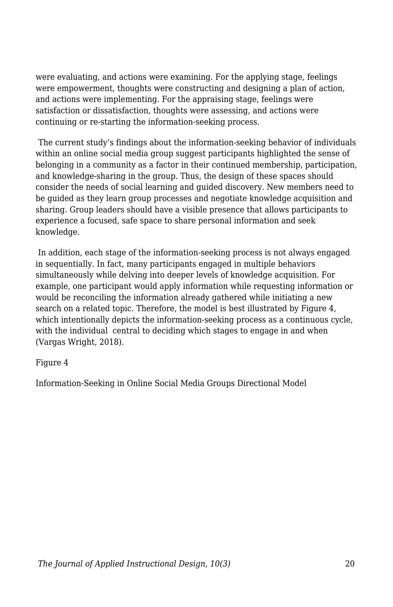were evaluating, and actions were examining. For the applying stage, feelings were empowerment, thoughts were constructing and designing a plan of action, and actions were implementing. For the appraising stage, feelings were satisfaction or dissatisfaction, thoughts were assessing, and actions were continuing or re-starting the information-seeking process.

The current study's findings about the information-seeking behavior of individuals within an online social media group suggest participants highlighted the sense of belonging in a community as a factor in their continued membership, participation, and knowledge-sharing in the group. Thus, the design of these spaces should consider the needs of social learning and guided discovery. New members need to be guided as they learn group processes and negotiate knowledge acquisition and sharing. Group leaders should have a visible presence that allows participants to experience a focused, safe space to share personal information and seek knowledge.

 In addition, each stage of the information-seeking process is not always engaged in sequentially. In fact, many participants engaged in multiple behaviors simultaneously while delving into deeper levels of knowledge acquisition. For example, one participant would apply information while requesting information or would be reconciling the information already gathered while initiating a new search on a related topic. Therefore, the model is best illustrated by Figure 4, which intentionally depicts the information-seeking process as a continuous cycle, with the individual central to deciding which stages to engage in and when (Vargas Wright, 2018).

#### Figure 4

Information-Seeking in Online Social Media Groups Directional Model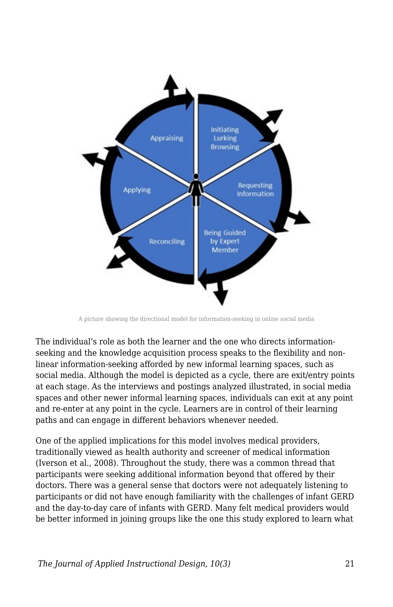

A picture showing the directional model for information-seeking in online social media

The individual's role as both the learner and the one who directs informationseeking and the knowledge acquisition process speaks to the flexibility and nonlinear information-seeking afforded by new informal learning spaces, such as social media. Although the model is depicted as a cycle, there are exit/entry points at each stage. As the interviews and postings analyzed illustrated, in social media spaces and other newer informal learning spaces, individuals can exit at any point and re-enter at any point in the cycle. Learners are in control of their learning paths and can engage in different behaviors whenever needed.

One of the applied implications for this model involves medical providers, traditionally viewed as health authority and screener of medical information (Iverson et al., 2008). Throughout the study, there was a common thread that participants were seeking additional information beyond that offered by their doctors. There was a general sense that doctors were not adequately listening to participants or did not have enough familiarity with the challenges of infant GERD and the day-to-day care of infants with GERD. Many felt medical providers would be better informed in joining groups like the one this study explored to learn what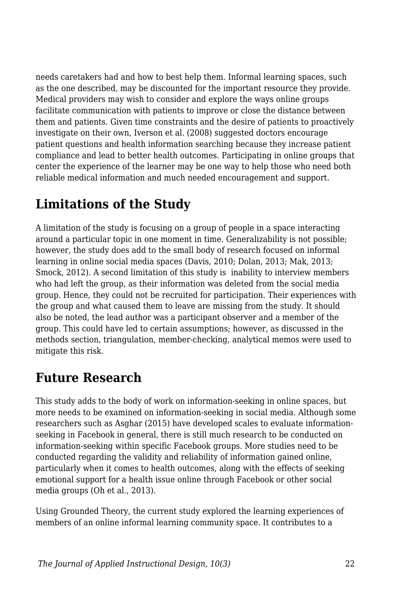needs caretakers had and how to best help them. Informal learning spaces, such as the one described, may be discounted for the important resource they provide. Medical providers may wish to consider and explore the ways online groups facilitate communication with patients to improve or close the distance between them and patients. Given time constraints and the desire of patients to proactively investigate on their own, Iverson et al. (2008) suggested doctors encourage patient questions and health information searching because they increase patient compliance and lead to better health outcomes. Participating in online groups that center the experience of the learner may be one way to help those who need both reliable medical information and much needed encouragement and support.

# **Limitations of the Study**

A limitation of the study is focusing on a group of people in a space interacting around a particular topic in one moment in time. Generalizability is not possible; however, the study does add to the small body of research focused on informal learning in online social media spaces (Davis, 2010; Dolan, 2013; Mak, 2013; Smock, 2012). A second limitation of this study is inability to interview members who had left the group, as their information was deleted from the social media group. Hence, they could not be recruited for participation. Their experiences with the group and what caused them to leave are missing from the study. It should also be noted, the lead author was a participant observer and a member of the group. This could have led to certain assumptions; however, as discussed in the methods section, triangulation, member-checking, analytical memos were used to mitigate this risk.

# **Future Research**

This study adds to the body of work on information-seeking in online spaces, but more needs to be examined on information-seeking in social media. Although some researchers such as Asghar (2015) have developed scales to evaluate informationseeking in Facebook in general, there is still much research to be conducted on information-seeking within specific Facebook groups. More studies need to be conducted regarding the validity and reliability of information gained online, particularly when it comes to health outcomes, along with the effects of seeking emotional support for a health issue online through Facebook or other social media groups (Oh et al., 2013).

Using Grounded Theory, the current study explored the learning experiences of members of an online informal learning community space. It contributes to a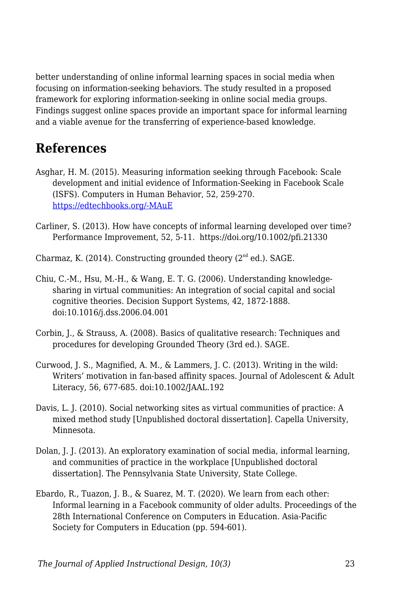better understanding of online informal learning spaces in social media when focusing on information-seeking behaviors. The study resulted in a proposed framework for exploring information-seeking in online social media groups. Findings suggest online spaces provide an important space for informal learning and a viable avenue for the transferring of experience-based knowledge.

# **References**

- Asghar, H. M. (2015). Measuring information seeking through Facebook: Scale development and initial evidence of Information-Seeking in Facebook Scale (ISFS). Computers in Human Behavior, 52, 259-270. [https://edtechbooks.org/-MAuE](https://doi.org/10.1016/j.chb.2015.06.005)
- Carliner, S. (2013). How have concepts of informal learning developed over time? Performance Improvement, 52, 5-11. https://doi.org/10.1002/pfi.21330
- Charmaz, K. (2014). Constructing grounded theory  $(2^{nd}$  ed.). SAGE.
- Chiu, C.-M., Hsu, M.-H., & Wang, E. T. G. (2006). Understanding knowledgesharing in virtual communities: An integration of social capital and social cognitive theories. Decision Support Systems, 42, 1872-1888. doi:10.1016/j.dss.2006.04.001
- Corbin, J., & Strauss, A. (2008). Basics of qualitative research: Techniques and procedures for developing Grounded Theory (3rd ed.). SAGE.
- Curwood, J. S., Magnified, A. M., & Lammers, J. C. (2013). Writing in the wild: Writers' motivation in fan-based affinity spaces. Journal of Adolescent & Adult Literacy, 56, 677-685. doi:10.1002/JAAL.192
- Davis, L. J. (2010). Social networking sites as virtual communities of practice: A mixed method study [Unpublished doctoral dissertation]. Capella University, Minnesota.
- Dolan, J. J. (2013). An exploratory examination of social media, informal learning, and communities of practice in the workplace [Unpublished doctoral dissertation]. The Pennsylvania State University, State College.
- Ebardo, R., Tuazon, J. B., & Suarez, M. T. (2020). We learn from each other: Informal learning in a Facebook community of older adults. Proceedings of the 28th International Conference on Computers in Education. Asia-Pacific Society for Computers in Education (pp. 594-601).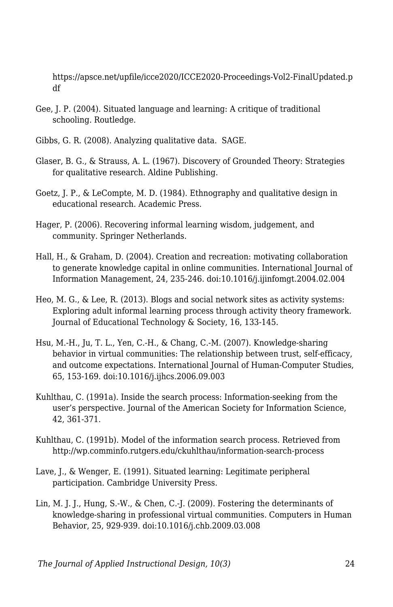https://apsce.net/upfile/icce2020/ICCE2020-Proceedings-Vol2-FinalUpdated.p df

- Gee, J. P. (2004). Situated language and learning: A critique of traditional schooling. Routledge.
- Gibbs, G. R. (2008). Analyzing qualitative data. SAGE.
- Glaser, B. G., & Strauss, A. L. (1967). Discovery of Grounded Theory: Strategies for qualitative research. Aldine Publishing.
- Goetz, J. P., & LeCompte, M. D. (1984). Ethnography and qualitative design in educational research. Academic Press.
- Hager, P. (2006). Recovering informal learning wisdom, judgement, and community. Springer Netherlands.
- Hall, H., & Graham, D. (2004). Creation and recreation: motivating collaboration to generate knowledge capital in online communities. International Journal of Information Management, 24, 235-246. doi:10.1016/j.ijinfomgt.2004.02.004
- Heo, M. G., & Lee, R. (2013). Blogs and social network sites as activity systems: Exploring adult informal learning process through activity theory framework. Journal of Educational Technology & Society, 16, 133-145.
- Hsu, M.-H., Ju, T. L., Yen, C.-H., & Chang, C.-M. (2007). Knowledge-sharing behavior in virtual communities: The relationship between trust, self-efficacy, and outcome expectations. International Journal of Human-Computer Studies, 65, 153-169. doi:10.1016/j.ijhcs.2006.09.003
- Kuhlthau, C. (1991a). Inside the search process: Information-seeking from the user's perspective. Journal of the American Society for Information Science, 42, 361-371.
- Kuhlthau, C. (1991b). Model of the information search process. Retrieved from http://wp.comminfo.rutgers.edu/ckuhlthau/information-search-process
- Lave, J., & Wenger, E. (1991). Situated learning: Legitimate peripheral participation. Cambridge University Press.
- Lin, M. J. J., Hung, S.-W., & Chen, C.-J. (2009). Fostering the determinants of knowledge-sharing in professional virtual communities. Computers in Human Behavior, 25, 929-939. doi:10.1016/j.chb.2009.03.008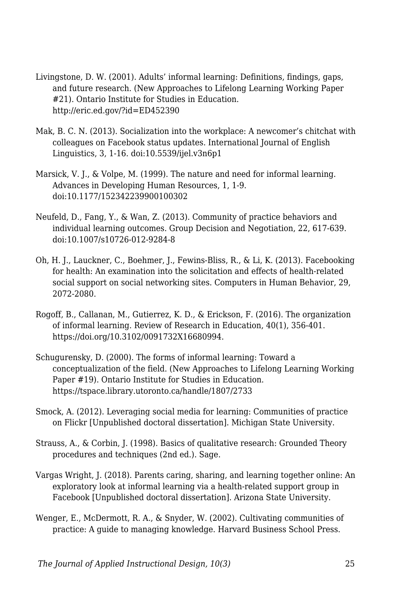- Livingstone, D. W. (2001). Adults' informal learning: Definitions, findings, gaps, and future research. (New Approaches to Lifelong Learning Working Paper #21). Ontario Institute for Studies in Education. http://eric.ed.gov/?id=ED452390
- Mak, B. C. N. (2013). Socialization into the workplace: A newcomer's chitchat with colleagues on Facebook status updates. International Journal of English Linguistics, 3, 1-16. doi:10.5539/ijel.v3n6p1
- Marsick, V. J., & Volpe, M. (1999). The nature and need for informal learning. Advances in Developing Human Resources, 1, 1-9. doi:10.1177/152342239900100302
- Neufeld, D., Fang, Y., & Wan, Z. (2013). Community of practice behaviors and individual learning outcomes. Group Decision and Negotiation, 22, 617-639. doi:10.1007/s10726-012-9284-8
- Oh, H. J., Lauckner, C., Boehmer, J., Fewins-Bliss, R., & Li, K. (2013). Facebooking for health: An examination into the solicitation and effects of health-related social support on social networking sites. Computers in Human Behavior, 29, 2072-2080.
- Rogoff, B., Callanan, M., Gutierrez, K. D., & Erickson, F. (2016). The organization of informal learning. Review of Research in Education, 40(1), 356-401. https://doi.org/10.3102/0091732X16680994.
- Schugurensky, D. (2000). The forms of informal learning: Toward a conceptualization of the field. (New Approaches to Lifelong Learning Working Paper #19). Ontario Institute for Studies in Education. https://tspace.library.utoronto.ca/handle/1807/2733
- Smock, A. (2012). Leveraging social media for learning: Communities of practice on Flickr [Unpublished doctoral dissertation]. Michigan State University.
- Strauss, A., & Corbin, J. (1998). Basics of qualitative research: Grounded Theory procedures and techniques (2nd ed.). Sage.
- Vargas Wright, J. (2018). Parents caring, sharing, and learning together online: An exploratory look at informal learning via a health-related support group in Facebook [Unpublished doctoral dissertation]. Arizona State University.
- Wenger, E., McDermott, R. A., & Snyder, W. (2002). Cultivating communities of practice: A guide to managing knowledge. Harvard Business School Press.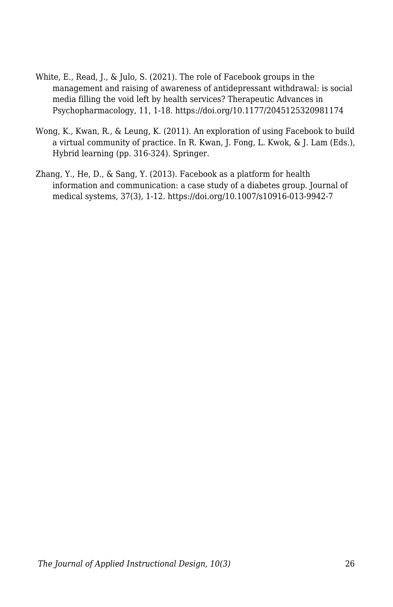- White, E., Read, J., & Julo, S. (2021). The role of Facebook groups in the management and raising of awareness of antidepressant withdrawal: is social media filling the void left by health services? Therapeutic Advances in Psychopharmacology, 11, 1-18. https://doi.org/10.1177/2045125320981174
- Wong, K., Kwan, R., & Leung, K. (2011). An exploration of using Facebook to build a virtual community of practice. In R. Kwan, J. Fong, L. Kwok, & J. Lam (Eds.), Hybrid learning (pp. 316-324). Springer.
- Zhang, Y., He, D., & Sang, Y. (2013). Facebook as a platform for health information and communication: a case study of a diabetes group. Journal of medical systems, 37(3), 1-12. https://doi.org/10.1007/s10916-013-9942-7